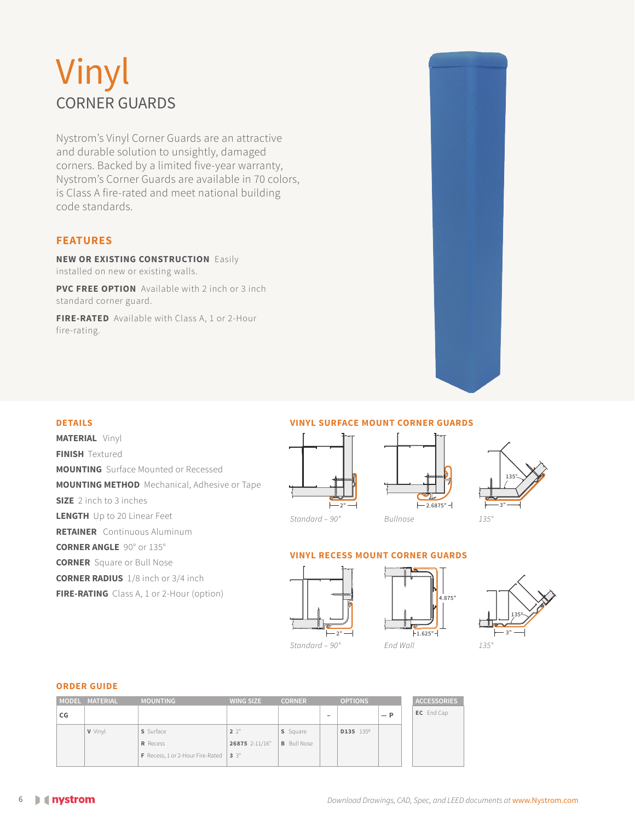# Vinyl CORNER GUARDS

Nystrom's Vinyl Corner Guards are an attractive and durable solution to unsightly, damaged corners. Backed by a limited five-year warranty, Nystrom's Corner Guards are available in 70 colors, is Class A fire-rated and meet national building code standards.

### **FEATURES**

**NEW OR EXISTING CONSTRUCTION** Easily installed on new or existing walls.

**PVC FREE OPTION** Available with 2 inch or 3 inch standard corner guard.

**FIRE-RATED** Available with Class A, 1 or 2-Hour fire-rating.



### **DETAILS**

**MATERIAL** Vinyl **FINISH Textured MOUNTING** Surface Mounted or Recessed **MOUNTING METHOD** Mechanical, Adhesive or Tape **SIZE** 2 inch to 3 inches **LENGTH** Up to 20 Linear Feet **RETAINER** Continuous Aluminum **CORNER ANGLE** 90° or 135° **CORNER** Square or Bull Nose **CORNER RADIUS** 1/8 inch or 3/4 inch **FIRE-RATING** Class A, 1 or 2-Hour (option)

### **VINYL SURFACE MOUNT CORNER GUARDS**



*Standard – 90°*

 $-2.6875"$  -*Bullnose* 



# **VINYL RECESS MOUNT CORNER GUARDS**







### **ORDER GUIDE**

|    | MODEL MATERIAL | <b>MOUNTING</b>                  | <b>WING SIZE</b> | <b>CORNER</b>      |   | <b>OPTIONS</b>        |       | <b>ACCESSORIES</b> |
|----|----------------|----------------------------------|------------------|--------------------|---|-----------------------|-------|--------------------|
| CG |                |                                  |                  |                    | - |                       | $- P$ | EC End Cap         |
|    | <b>V</b> Vinyl | S Surface                        | $2^{\circ}$      | S Square           |   | D135 135 <sup>0</sup> |       |                    |
|    |                | R Recess                         | 26875 2-11/16"   | <b>B</b> Bull Nose |   |                       |       |                    |
|    |                | F Recess, 1 or 2-Hour Fire-Rated | $3^{\circ}$      |                    |   |                       |       |                    |